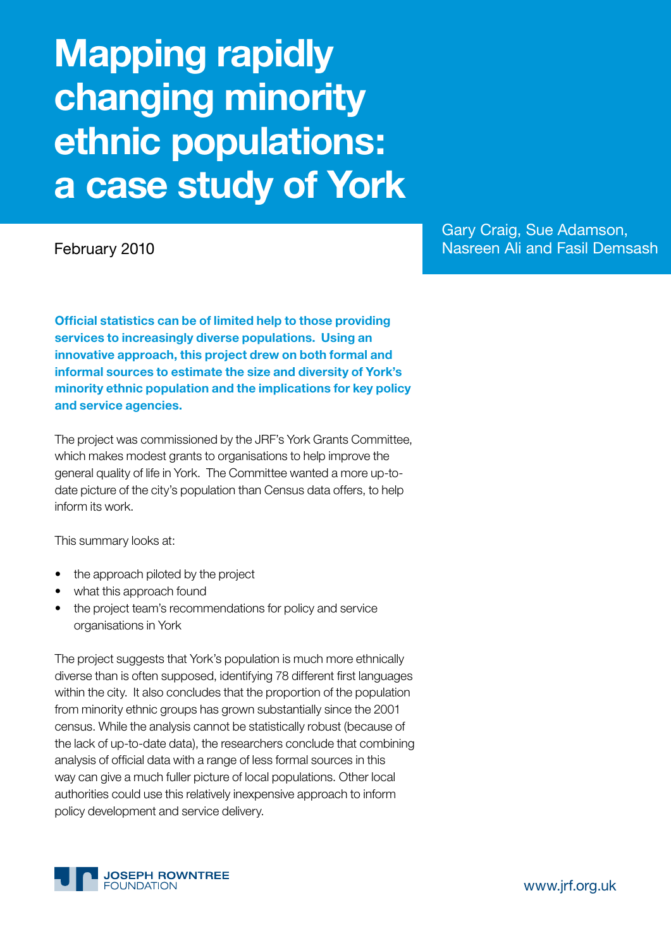# **Mapping rapidly changing minority ethnic populations: a case study of York**

Gary Craig, Sue Adamson, February 2010 **Nasreen Ali and Fasil Demsash** 

**Official statistics can be of limited help to those providing services to increasingly diverse populations. Using an innovative approach, this project drew on both formal and informal sources to estimate the size and diversity of York's minority ethnic population and the implications for key policy and service agencies.** 

The project was commissioned by the JRF's York Grants Committee, which makes modest grants to organisations to help improve the general quality of life in York. The Committee wanted a more up-todate picture of the city's population than Census data offers, to help inform its work.

This summary looks at:

- the approach piloted by the project
- what this approach found
- the project team's recommendations for policy and service organisations in York

The project suggests that York's population is much more ethnically diverse than is often supposed, identifying 78 different first languages within the city. It also concludes that the proportion of the population from minority ethnic groups has grown substantially since the 2001 census. While the analysis cannot be statistically robust (because of the lack of up-to-date data), the researchers conclude that combining analysis of official data with a range of less formal sources in this way can give a much fuller picture of local populations. Other local authorities could use this relatively inexpensive approach to inform policy development and service delivery.



www.jrf.org.uk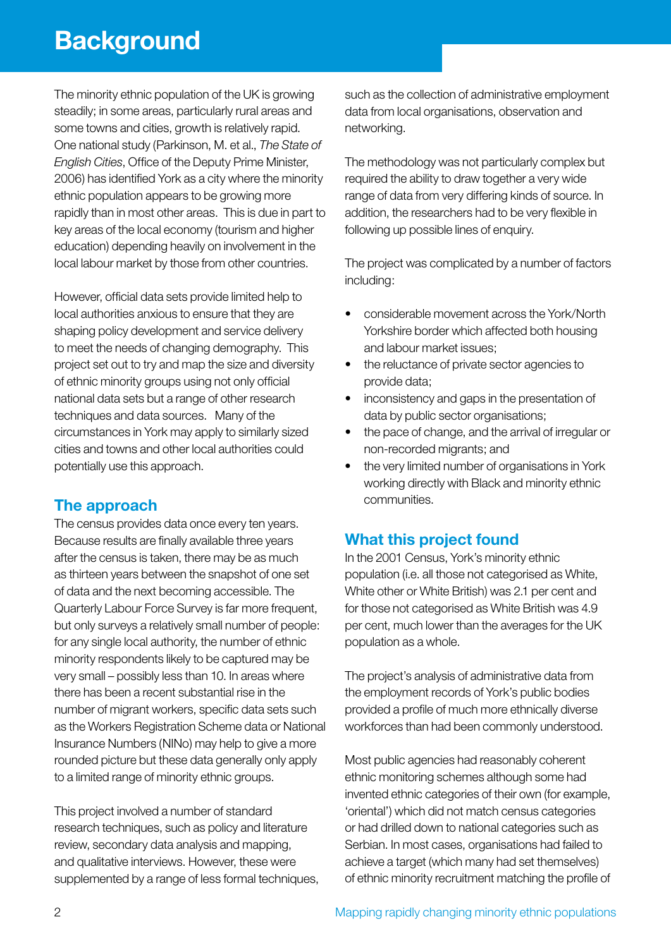# **Background**

The minority ethnic population of the UK is growing steadily; in some areas, particularly rural areas and some towns and cities, growth is relatively rapid. One national study (Parkinson, M. et al., *The State of English Cities*, Office of the Deputy Prime Minister, 2006) has identified York as a city where the minority ethnic population appears to be growing more rapidly than in most other areas. This is due in part to key areas of the local economy (tourism and higher education) depending heavily on involvement in the local labour market by those from other countries.

However, official data sets provide limited help to local authorities anxious to ensure that they are shaping policy development and service delivery to meet the needs of changing demography. This project set out to try and map the size and diversity of ethnic minority groups using not only official national data sets but a range of other research techniques and data sources. Many of the circumstances in York may apply to similarly sized cities and towns and other local authorities could potentially use this approach.

# **The approach**

The census provides data once every ten years. Because results are finally available three years after the census is taken, there may be as much as thirteen years between the snapshot of one set of data and the next becoming accessible. The Quarterly Labour Force Survey is far more frequent, but only surveys a relatively small number of people: for any single local authority, the number of ethnic minority respondents likely to be captured may be very small – possibly less than 10. In areas where there has been a recent substantial rise in the number of migrant workers, specific data sets such as the Workers Registration Scheme data or National Insurance Numbers (NINo) may help to give a more rounded picture but these data generally only apply to a limited range of minority ethnic groups.

This project involved a number of standard research techniques, such as policy and literature review, secondary data analysis and mapping, and qualitative interviews. However, these were supplemented by a range of less formal techniques, such as the collection of administrative employment data from local organisations, observation and networking.

The methodology was not particularly complex but required the ability to draw together a very wide range of data from very differing kinds of source. In addition, the researchers had to be very flexible in following up possible lines of enquiry.

The project was complicated by a number of factors including:

- considerable movement across the York/North Yorkshire border which affected both housing and labour market issues;
- the reluctance of private sector agencies to provide data;
- inconsistency and gaps in the presentation of data by public sector organisations;
- the pace of change, and the arrival of irregular or non-recorded migrants; and
- the very limited number of organisations in York working directly with Black and minority ethnic communities.

# **What this project found**

In the 2001 Census, York's minority ethnic population (i.e. all those not categorised as White, White other or White British) was 2.1 per cent and for those not categorised as White British was 4.9 per cent, much lower than the averages for the UK population as a whole.

The project's analysis of administrative data from the employment records of York's public bodies provided a profile of much more ethnically diverse workforces than had been commonly understood.

Most public agencies had reasonably coherent ethnic monitoring schemes although some had invented ethnic categories of their own (for example, 'oriental') which did not match census categories or had drilled down to national categories such as Serbian. In most cases, organisations had failed to achieve a target (which many had set themselves) of ethnic minority recruitment matching the profile of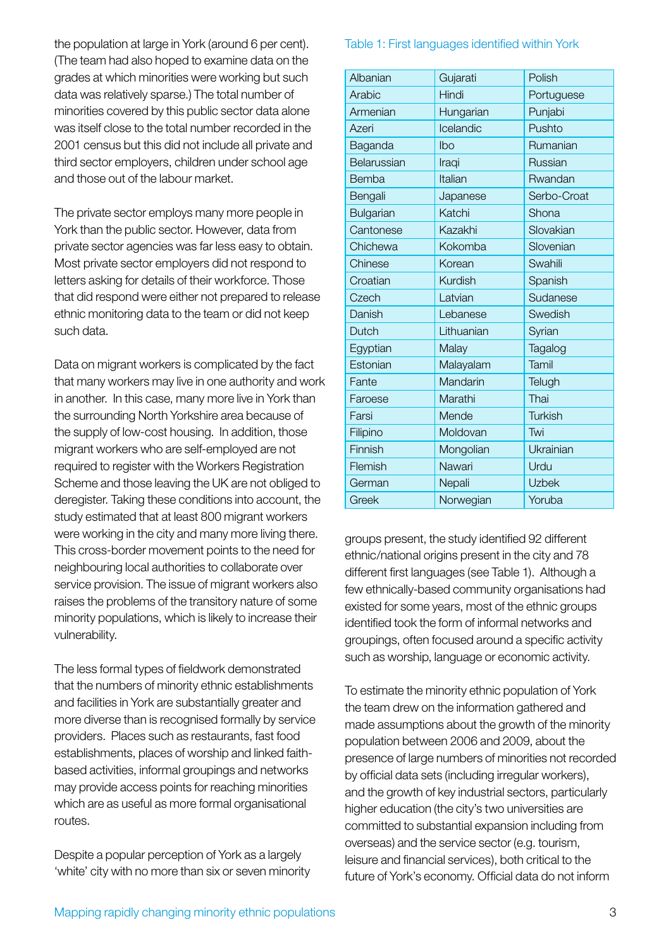the population at large in York (around 6 per cent). (The team had also hoped to examine data on the grades at which minorities were working but such data was relatively sparse.) The total number of minorities covered by this public sector data alone was itself close to the total number recorded in the 2001 census but this did not include all private and third sector employers, children under school age and those out of the labour market.

The private sector employs many more people in York than the public sector. However, data from private sector agencies was far less easy to obtain. Most private sector employers did not respond to letters asking for details of their workforce. Those that did respond were either not prepared to release ethnic monitoring data to the team or did not keep such data.

Data on migrant workers is complicated by the fact that many workers may live in one authority and work in another. In this case, many more live in York than the surrounding North Yorkshire area because of the supply of low-cost housing. In addition, those migrant workers who are self-employed are not required to register with the Workers Registration Scheme and those leaving the UK are not obliged to deregister. Taking these conditions into account, the study estimated that at least 800 migrant workers were working in the city and many more living there. This cross-border movement points to the need for neighbouring local authorities to collaborate over service provision. The issue of migrant workers also raises the problems of the transitory nature of some minority populations, which is likely to increase their vulnerability.

The less formal types of fieldwork demonstrated that the numbers of minority ethnic establishments and facilities in York are substantially greater and more diverse than is recognised formally by service providers. Places such as restaurants, fast food establishments, places of worship and linked faithbased activities, informal groupings and networks may provide access points for reaching minorities which are as useful as more formal organisational routes.

Despite a popular perception of York as a largely 'white' city with no more than six or seven minority

#### Table 1: First languages identified within York

| Albanian         | Gujarati   | Polish       |
|------------------|------------|--------------|
| Arabic           | Hindi      | Portuguese   |
| Armenian         | Hungarian  | Punjabi      |
| Azeri            | Icelandic  | Pushto       |
| Baganda          | lbo        | Rumanian     |
| Belarussian      | Iraqi      | Russian      |
| Bemba            | Italian    | Rwandan      |
| Bengali          | Japanese   | Serbo-Croat  |
| <b>Bulgarian</b> | Katchi     | Shona        |
| Cantonese        | Kazakhi    | Slovakian    |
| Chichewa         | Kokomba    | Slovenian    |
| Chinese          | Korean     | Swahili      |
| Croatian         | Kurdish    | Spanish      |
| Czech            | Latvian    | Sudanese     |
| Danish           | Lebanese   | Swedish      |
| Dutch            | Lithuanian | Syrian       |
| Egyptian         | Malay      | Tagalog      |
| Estonian         | Malayalam  | Tamil        |
| Fante            | Mandarin   | Telugh       |
| Faroese          | Marathi    | Thai         |
| Farsi            | Mende      | Turkish      |
| Filipino         | Moldovan   | Twi          |
| Finnish          | Mongolian  | Ukrainian    |
| Flemish          | Nawari     | Urdu         |
| German           | Nepali     | <b>Uzbek</b> |
| Greek            | Norwegian  | Yoruba       |

groups present, the study identified 92 different ethnic/national origins present in the city and 78 different first languages (see Table 1). Although a few ethnically-based community organisations had existed for some years, most of the ethnic groups identified took the form of informal networks and groupings, often focused around a specific activity such as worship, language or economic activity.

To estimate the minority ethnic population of York the team drew on the information gathered and made assumptions about the growth of the minority population between 2006 and 2009, about the presence of large numbers of minorities not recorded by official data sets (including irregular workers), and the growth of key industrial sectors, particularly higher education (the city's two universities are committed to substantial expansion including from overseas) and the service sector (e.g. tourism, leisure and financial services), both critical to the future of York's economy. Official data do not inform